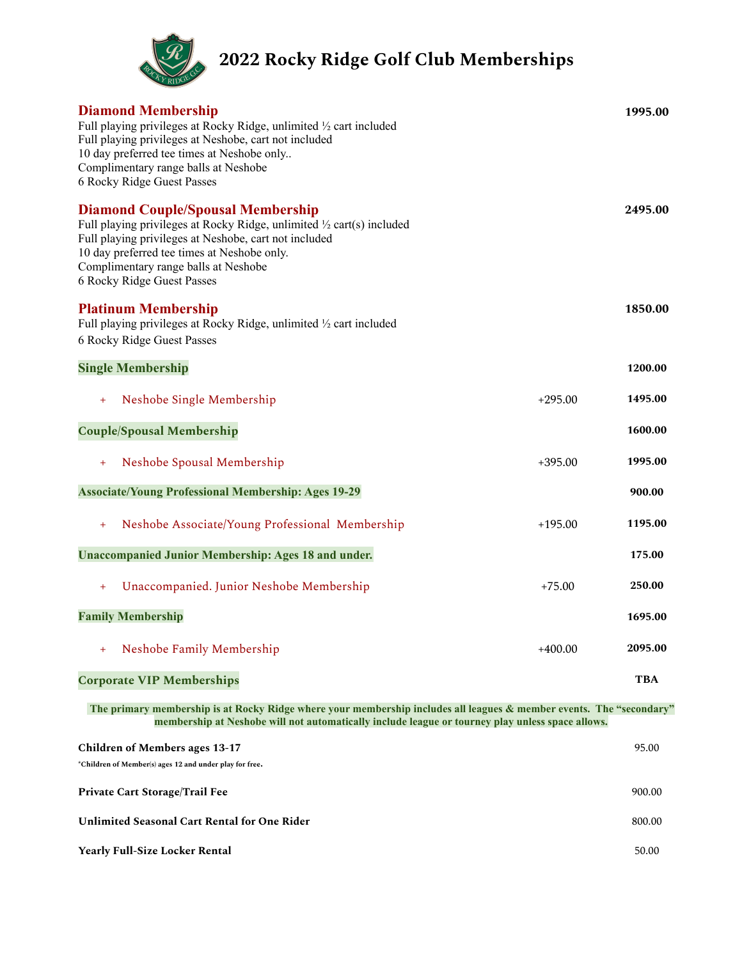

**2022 Rocky Ridge Golf Club Memberships**

| <b>Diamond Membership</b><br>Full playing privileges at Rocky Ridge, unlimited 1/2 cart included<br>Full playing privileges at Neshobe, cart not included<br>10 day preferred tee times at Neshobe only<br>Complimentary range balls at Neshobe<br>6 Rocky Ridge Guest Passes                    |           | 1995.00    |  |
|--------------------------------------------------------------------------------------------------------------------------------------------------------------------------------------------------------------------------------------------------------------------------------------------------|-----------|------------|--|
| <b>Diamond Couple/Spousal Membership</b><br>Full playing privileges at Rocky Ridge, unlimited 1/2 cart(s) included<br>Full playing privileges at Neshobe, cart not included<br>10 day preferred tee times at Neshobe only.<br>Complimentary range balls at Neshobe<br>6 Rocky Ridge Guest Passes |           | 2495.00    |  |
| <b>Platinum Membership</b><br>Full playing privileges at Rocky Ridge, unlimited 1/2 cart included<br>6 Rocky Ridge Guest Passes                                                                                                                                                                  |           | 1850.00    |  |
| <b>Single Membership</b>                                                                                                                                                                                                                                                                         |           | 1200.00    |  |
| Neshobe Single Membership<br>$+$                                                                                                                                                                                                                                                                 | $+295.00$ | 1495.00    |  |
| <b>Couple/Spousal Membership</b>                                                                                                                                                                                                                                                                 |           | 1600.00    |  |
| Neshobe Spousal Membership<br>$+$                                                                                                                                                                                                                                                                | $+395.00$ | 1995.00    |  |
| <b>Associate/Young Professional Membership: Ages 19-29</b>                                                                                                                                                                                                                                       |           | 900.00     |  |
| Neshobe Associate/Young Professional Membership<br>$+$                                                                                                                                                                                                                                           | $+195.00$ | 1195.00    |  |
| <b>Unaccompanied Junior Membership: Ages 18 and under.</b>                                                                                                                                                                                                                                       |           | 175.00     |  |
| Unaccompanied. Junior Neshobe Membership<br>$+$                                                                                                                                                                                                                                                  | $+75.00$  | 250.00     |  |
| <b>Family Membership</b>                                                                                                                                                                                                                                                                         |           | 1695.00    |  |
| Neshobe Family Membership<br>$^{+}$                                                                                                                                                                                                                                                              | $+400.00$ | 2095.00    |  |
| <b>Corporate VIP Memberships</b>                                                                                                                                                                                                                                                                 |           | <b>TBA</b> |  |
| The primary membership is at Rocky Ridge where your membership includes all leagues & member events. The "secondary"<br>membership at Neshobe will not automatically include league or tourney play unless space allows.                                                                         |           |            |  |
| <b>Children of Members ages 13-17</b><br>*Children of Member(s) ages 12 and under play for free.                                                                                                                                                                                                 |           | 95.00      |  |
| Private Cart Storage/Trail Fee                                                                                                                                                                                                                                                                   |           | 900.00     |  |

**Unlimited Seasonal Cart Rental for One Rider** 800.00

**Yearly Full-Size Locker Rental** 50.00